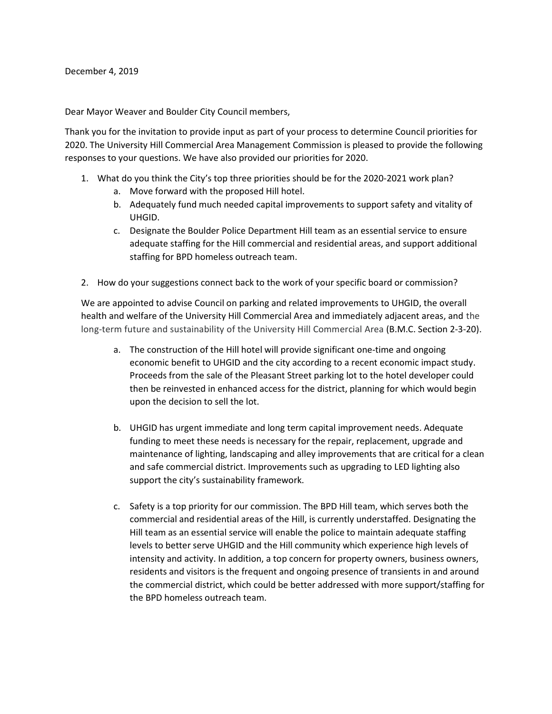Dear Mayor Weaver and Boulder City Council members,

Thank you for the invitation to provide input as part of your process to determine Council priorities for 2020. The University Hill Commercial Area Management Commission is pleased to provide the following responses to your questions. We have also provided our priorities for 2020.

- 1. What do you think the City's top three priorities should be for the 2020-2021 work plan?
	- a. Move forward with the proposed Hill hotel.
	- b. Adequately fund much needed capital improvements to support safety and vitality of UHGID.
	- c. Designate the Boulder Police Department Hill team as an essential service to ensure adequate staffing for the Hill commercial and residential areas, and support additional staffing for BPD homeless outreach team.
- 2. How do your suggestions connect back to the work of your specific board or commission?

We are appointed to advise Council on parking and related improvements to UHGID, the overall health and welfare of the University Hill Commercial Area and immediately adjacent areas, and the long-term future and sustainability of the University Hill Commercial Area (B.M.C. Section 2-3-20).

- a. The construction of the Hill hotel will provide significant one-time and ongoing economic benefit to UHGID and the city according to a recent economic impact study. Proceeds from the sale of the Pleasant Street parking lot to the hotel developer could then be reinvested in enhanced access for the district, planning for which would begin upon the decision to sell the lot.
- b. UHGID has urgent immediate and long term capital improvement needs. Adequate funding to meet these needs is necessary for the repair, replacement, upgrade and maintenance of lighting, landscaping and alley improvements that are critical for a clean and safe commercial district. Improvements such as upgrading to LED lighting also support the city's sustainability framework.
- c. Safety is a top priority for our commission. The BPD Hill team, which serves both the commercial and residential areas of the Hill, is currently understaffed. Designating the Hill team as an essential service will enable the police to maintain adequate staffing levels to better serve UHGID and the Hill community which experience high levels of intensity and activity. In addition, a top concern for property owners, business owners, residents and visitors is the frequent and ongoing presence of transients in and around the commercial district, which could be better addressed with more support/staffing for the BPD homeless outreach team.